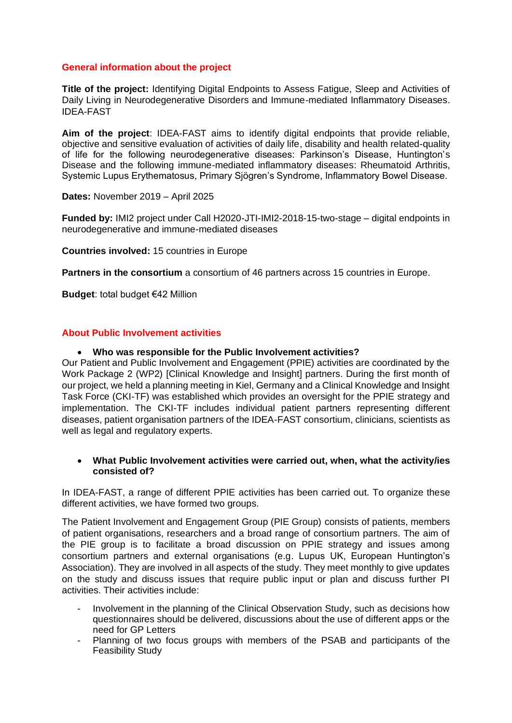## **General information about the project**

**Title of the project:** Identifying Digital Endpoints to Assess Fatigue, Sleep and Activities of Daily Living in Neurodegenerative Disorders and Immune-mediated Inflammatory Diseases. IDEA-FAST

**Aim of the project**: IDEA-FAST aims to identify digital endpoints that provide reliable, objective and sensitive evaluation of activities of daily life, disability and health related-quality of life for the following neurodegenerative diseases: Parkinson's Disease, Huntington's Disease and the following immune-mediated inflammatory diseases: Rheumatoid Arthritis, Systemic Lupus Erythematosus, Primary Sjögren's Syndrome, Inflammatory Bowel Disease.

**Dates:** November 2019 – April 2025

**Funded by:** IMI2 project under Call H2020-JTI-IMI2-2018-15-two-stage – digital endpoints in neurodegenerative and immune-mediated diseases

**Countries involved:** 15 countries in Europe

**Partners in the consortium** a consortium of 46 partners across 15 countries in Europe.

**Budget**: total budget €42 Million

### **About Public Involvement activities**

### • **Who was responsible for the Public Involvement activities?**

Our Patient and Public Involvement and Engagement (PPIE) activities are coordinated by the Work Package 2 (WP2) [Clinical Knowledge and Insight] partners. During the first month of our project, we held a planning meeting in Kiel, Germany and a Clinical Knowledge and Insight Task Force (CKI-TF) was established which provides an oversight for the PPIE strategy and implementation. The CKI-TF includes individual patient partners representing different diseases, patient organisation partners of the IDEA-FAST consortium, clinicians, scientists as well as legal and regulatory experts.

### • **What Public Involvement activities were carried out, when, what the activity/ies consisted of?**

In IDEA-FAST, a range of different PPIE activities has been carried out. To organize these different activities, we have formed two groups.

The Patient Involvement and Engagement Group (PIE Group) consists of patients, members of patient organisations, researchers and a broad range of consortium partners. The aim of the PIE group is to facilitate a broad discussion on PPIE strategy and issues among consortium partners and external organisations (e.g. Lupus UK, European Huntington's Association). They are involved in all aspects of the study. They meet monthly to give updates on the study and discuss issues that require public input or plan and discuss further PI activities. Their activities include:

- Involvement in the planning of the Clinical Observation Study, such as decisions how questionnaires should be delivered, discussions about the use of different apps or the need for GP Letters
- Planning of two focus groups with members of the PSAB and participants of the Feasibility Study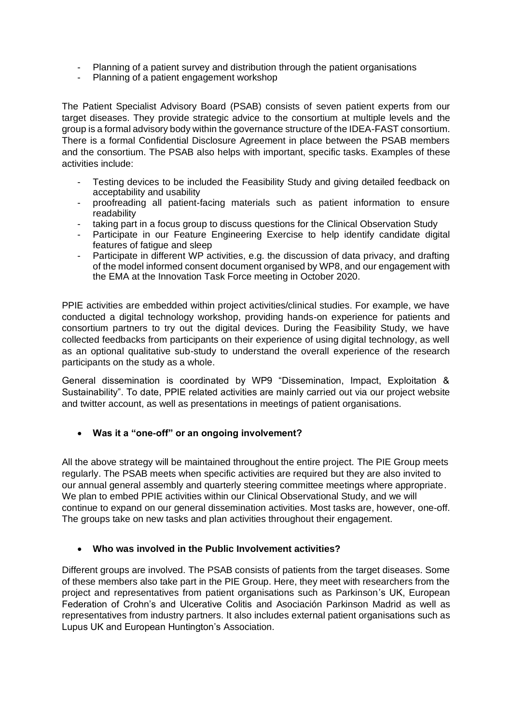- Planning of a patient survey and distribution through the patient organisations
- Planning of a patient engagement workshop

The Patient Specialist Advisory Board (PSAB) consists of seven patient experts from our target diseases. They provide strategic advice to the consortium at multiple levels and the group is a formal advisory body within the governance structure of the IDEA-FAST consortium. There is a formal Confidential Disclosure Agreement in place between the PSAB members and the consortium. The PSAB also helps with important, specific tasks. Examples of these activities include:

- Testing devices to be included the Feasibility Study and giving detailed feedback on acceptability and usability
- proofreading all patient-facing materials such as patient information to ensure readability
- taking part in a focus group to discuss questions for the Clinical Observation Study
- Participate in our Feature Engineering Exercise to help identify candidate digital features of fatigue and sleep
- Participate in different WP activities, e.g. the discussion of data privacy, and drafting of the model informed consent document organised by WP8, and our engagement with the EMA at the Innovation Task Force meeting in October 2020.

PPIE activities are embedded within project activities/clinical studies. For example, we have conducted a digital technology workshop, providing hands-on experience for patients and consortium partners to try out the digital devices. During the Feasibility Study, we have collected feedbacks from participants on their experience of using digital technology, as well as an optional qualitative sub-study to understand the overall experience of the research participants on the study as a whole.

General dissemination is coordinated by WP9 "Dissemination, Impact, Exploitation & Sustainability". To date, PPIE related activities are mainly carried out via our project website and twitter account, as well as presentations in meetings of patient organisations.

### • **Was it a "one-off" or an ongoing involvement?**

All the above strategy will be maintained throughout the entire project. The PIE Group meets regularly. The PSAB meets when specific activities are required but they are also invited to our annual general assembly and quarterly steering committee meetings where appropriate. We plan to embed PPIE activities within our Clinical Observational Study, and we will continue to expand on our general dissemination activities. Most tasks are, however, one-off. The groups take on new tasks and plan activities throughout their engagement.

### • **Who was involved in the Public Involvement activities?**

Different groups are involved. The PSAB consists of patients from the target diseases. Some of these members also take part in the PIE Group. Here, they meet with researchers from the project and representatives from patient organisations such as Parkinson's UK, European Federation of Crohn's and Ulcerative Colitis and Asociación Parkinson Madrid as well as representatives from industry partners. It also includes external patient organisations such as Lupus UK and European Huntington's Association.